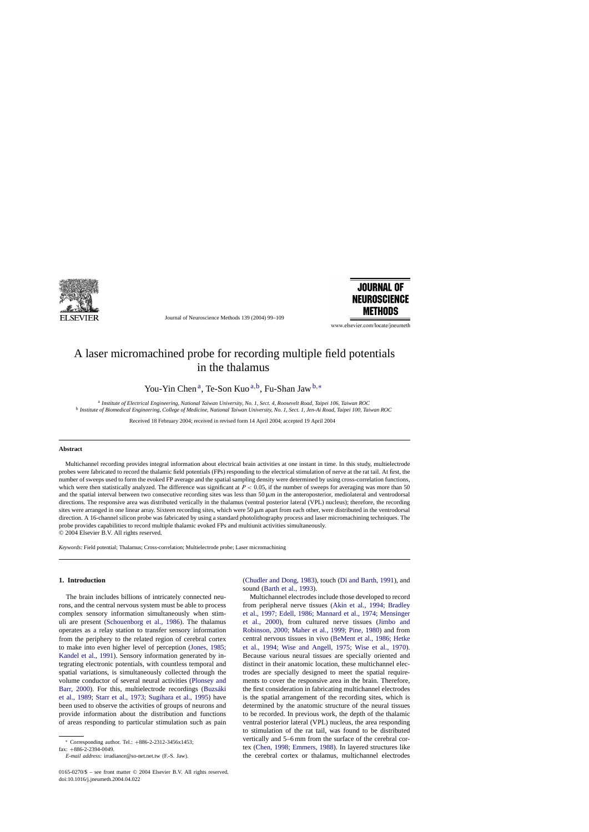

Journal of Neuroscience Methods 139 (2004) 99–109



www.elsevier.com/locate/ineumeth

# A laser micromachined probe for recording multiple field potentials in the thalamus

You-Yin Chen<sup>a</sup>, Te-Son Kuo<sup>a,b</sup>, Fu-Shan Jaw<sup>b,\*</sup>

<sup>a</sup> *Institute of Electrical Engineering, National Taiwan University, No. 1, Sect. 4, Roosevelt Road, Taipei 106, Taiwan ROC* <sup>b</sup> *Institute of Biomedical Engineering, College of Medicine, National Taiwan University, No. 1, Sect. 1, Jen-Ai Road, Taipei 100, Taiwan ROC*

Received 18 February 2004; received in revised form 14 April 2004; accepted 19 April 2004

#### **Abstract**

Multichannel recording provides integral information about electrical brain activities at one instant in time. In this study, multielectrode probes were fabricated to record the thalamic field potentials (FPs) responding to the electrical stimulation of nerve at the rat tail. At first, the number of sweeps used to form the evoked FP average and the spatial sampling density were determined by using cross-correlation functions, which were then statistically analyzed. The difference was significant at  $P < 0.05$ , if the number of sweeps for averaging was more than 50 and the spatial interval between two consecutive recording sites was less than  $50 \mu m$  in the anteroposterior, mediolateral and ventrodorsal directions. The responsive area was distributed vertically in the thalamus (ventral posterior lateral (VPL) nucleus); therefore, the recording sites were arranged in one linear array. Sixteen recording sites, which were  $50 \mu m$  apart from each other, were distributed in the ventrodorsal direction. A 16-channel silicon probe was fabricated by using a standard photolithography process and laser micromachining techniques. The probe provides capabilities to record multiple thalamic evoked FPs and multiunit activities simultaneously. © 2004 Elsevier B.V. All rights reserved.

*Keywords:* Field potential; Thalamus; Cross-correlation; Multielectrode probe; Laser micromachining

## **1. Introduction**

The brain includes billions of intricately connected neurons, and the central nervous system must be able to process complex sensory information simultaneously when stimuli are present [\(Schouenborg et al., 1986\)](#page-10-0). The thalamus operates as a relay station to transfer sensory information from the periphery to the related region of cerebral cortex to make into even higher level of perception ([Jones, 1985;](#page-10-0) [Kandel et al., 1991\).](#page-10-0) Sensory information generated by integrating electronic potentials, with countless temporal and spatial variations, is simultaneously collected through the volume conductor of several neural activities [\(Plonsey and](#page-10-0) [Barr, 2000\)](#page-10-0). For this, multielectrode recordings [\(Buzsáki](#page-9-0) [et al., 1989; Starr et al., 1973; Sugihara et al., 1995](#page-9-0)) have been used to observe the activities of groups of neurons and provide information about the distribution and functions of areas responding to particular stimulation such as pain

0165-0270/\$ – see front matter © 2004 Elsevier B.V. All rights reserved. doi:10.1016/j.jneumeth.2004.04.022

([Chudler and Dong, 1983\),](#page-9-0) touch ([Di and Barth, 1991\),](#page-10-0) and sound [\(Barth et al., 1993\).](#page-9-0)

Multichannel electrodes include those developed to record from peripheral nerve tissues [\(Akin et al., 1994; Bradley](#page-9-0) [et al., 1997; Edell, 1986; Mannard et al., 1974; Mensinger](#page-9-0) [et al., 2000](#page-9-0)), from cultured nerve tissues [\(Jimbo and](#page-10-0) [Robinson, 2000; Maher et al., 1999; Pine, 1980\)](#page-10-0) and from central nervous tissues in vivo [\(BeMent et al., 1986; Hetke](#page-9-0) [et al., 1994; Wise and Angell, 1975; Wise et al., 19](#page-9-0)70). Because various neural tissues are specially oriented and distinct in their anatomic location, these multichannel electrodes are specially designed to meet the spatial requirements to cover the responsive area in the brain. Therefore, the first consideration in fabricating multichannel electrodes is the spatial arrangement of the recording sites, which is determined by the anatomic structure of the neural tissues to be recorded. In previous work, the depth of the thalamic ventral posterior lateral (VPL) nucleus, the area responding to stimulation of the rat tail, was found to be distributed vertically and 5–6 mm from the surface of the cerebral cortex ([Chen, 1998; Emmers, 1988\).](#page-9-0) In layered structures like the cerebral cortex or thalamus, multichannel electrodes

<sup>∗</sup> Corresponding author. Tel.: +886-2-2312-3456x1453;

fax: +886-2-2394-0049.

*E-mail address:* irradiance@so-net.net.tw (F.-S. Jaw).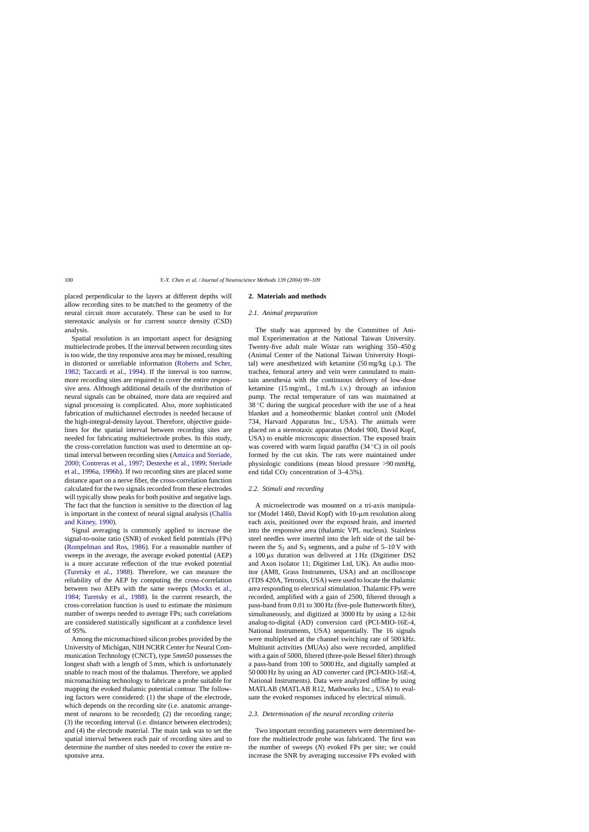<span id="page-1-0"></span>placed perpendicular to the layers at different depths will allow recording sites to be matched to the geometry of the neural circuit more accurately. These can be used to for stereotaxic analysis or for current source density (CSD) analysis.

Spatial resolution is an important aspect for designing multielectrode probes. If the interval between recording sites is too wide, the tiny responsive area may be missed, resulting in distorted or unreliable information [\(Roberts and Scher,](#page-10-0) [1982; Taccardi et al., 1994\)](#page-10-0). If the interval is too narrow, more recording sites are required to cover the entire responsive area. Although additional details of the distribution of neural signals can be obtained, more data are required and signal processing is complicated. Also, more sophisticated fabrication of multichannel electrodes is needed because of the high-integral-density layout. Therefore, objective guidelines for the spatial interval between recording sites are needed for fabricating multielectrode probes. In this study, the cross-correlation function was used to determine an optimal interval between recording sites ([Amzica and Steriade,](#page-9-0) [2000; Contreras et al., 1997; Destexhe et al., 1999;](#page-9-0) [Steriade](#page-10-0) [et al., 1996a, 1996b\).](#page-10-0) If two recording sites are placed some distance apart on a nerve fiber, the cross-correlation function calculated for the two signals recorded from these electrodes will typically show peaks for both positive and negative lags. The fact that the function is sensitive to the direction of lag is important in the context of neural signal analysis [\(Challis](#page-9-0) [and Kitney, 1990\).](#page-9-0)

Signal averaging is commonly applied to increase the signal-to-noise ratio (SNR) of evoked field potentials (FPs) ([Rompelman and Ros, 1986\)](#page-10-0). For a reasonable number of sweeps in the average, the average evoked potential (AEP) is a more accurate reflection of the true evoked potential ([Turetsky et al., 1988](#page-10-0)). Therefore, we can measure the reliability of the AEP by computing the cross-correlation between two AEPs with the same sweeps [\(Mocks et al.,](#page-10-0) [1984; Turetsky et al., 1988](#page-10-0)). In the current research, the cross-correlation function is used to estimate the minimum number of sweeps needed to average FPs; such correlations are considered statistically significant at a confidence level of 95%.

Among the micromachined silicon probes provided by the University of Michigan, NIH NCRR Center for Neural Communication Technology (CNCT), type *5mm50* possesses the longest shaft with a length of 5 mm, which is unfortunately unable to reach most of the thalamus. Therefore, we applied micromachining technology to fabricate a probe suitable for mapping the evoked thalamic potential contour. The following factors were considered: (1) the shape of the electrode, which depends on the recording site (i.e. anatomic arrangement of neurons to be recorded); (2) the recording range; (3) the recording interval (i.e. distance between electrodes); and (4) the electrode material. The main task was to set the spatial interval between each pair of recording sites and to determine the number of sites needed to cover the entire responsive area.

## **2. Materials and methods**

#### *2.1. Animal preparation*

The study was approved by the Committee of Animal Experimentation at the National Taiwan University. Twenty-five adult male Wistar rats weighing 350–450 g (Animal Center of the National Taiwan University Hospital) were anesthetized with ketamine (50 mg/kg i.p.). The trachea, femoral artery and vein were cannulated to maintain anesthesia with the continuous delivery of low-dose ketamine (15 mg/mL, 1 mL/h i.v.) through an infusion pump. The rectal temperature of rats was maintained at  $38^{\circ}$ C during the surgical procedure with the use of a heat blanket and a homeothermic blanket control unit (Model 734, Harvard Apparatus Inc., USA). The animals were placed on a stereotaxic apparatus (Model 900, David Kopf, USA) to enable microscopic dissection. The exposed brain was covered with warm liquid paraffin  $(34\degree C)$  in oil pools formed by the cut skin. The rats were maintained under physiologic conditions (mean blood pressure >90 mmHg, end tidal  $CO<sub>2</sub>$  concentration of 3–4.5%).

## *2.2. Stimuli and recording*

A microelectrode was mounted on a tri-axis manipulator (Model 1460, David Kopf) with  $10$ - $\mu$ m resolution along each axis, positioned over the exposed brain, and inserted into the responsive area (thalamic VPL nucleus). Stainless steel needles were inserted into the left side of the tail between the  $S_2$  and  $S_3$  segments, and a pulse of  $5-10$  V with a  $100 \mu s$  duration was delivered at 1 Hz (Digitimer DS2 and Axon isolator 11; Digitimer Ltd, UK). An audio monitor (AM8, Grass Instruments, USA) and an oscilloscope (TDS 420A, Tetronix, USA) were used to locate the thalamic area responding to electrical stimulation. Thalamic FPs were recorded, amplified with a gain of 2500, filtered through a pass-band from 0.01 to 300 Hz (five-pole Butterworth filter), simultaneously, and digitized at 3000 Hz by using a 12-bit analog-to-digital (AD) conversion card (PCI-MIO-16E-4, National Instruments, USA) sequentially. The 16 signals were multiplexed at the channel switching rate of 500 kHz. Multiunit activities (MUAs) also were recorded, amplified with a gain of 5000, filtered (three-pole Bessel filter) through a pass-band from 100 to 5000 Hz, and digitally sampled at 50 000 Hz by using an AD converter card (PCI-MIO-16E-4, National Instruments). Data were analyzed offline by using MATLAB (MATLAB R12, Mathworks Inc., USA) to evaluate the evoked responses induced by electrical stimuli.

## *2.3. Determination of the neural recording criteria*

Two important recording parameters were determined before the multielectrode probe was fabricated. The first was the number of sweeps (*N*) evoked FPs per site; we could increase the SNR by averaging successive FPs evoked with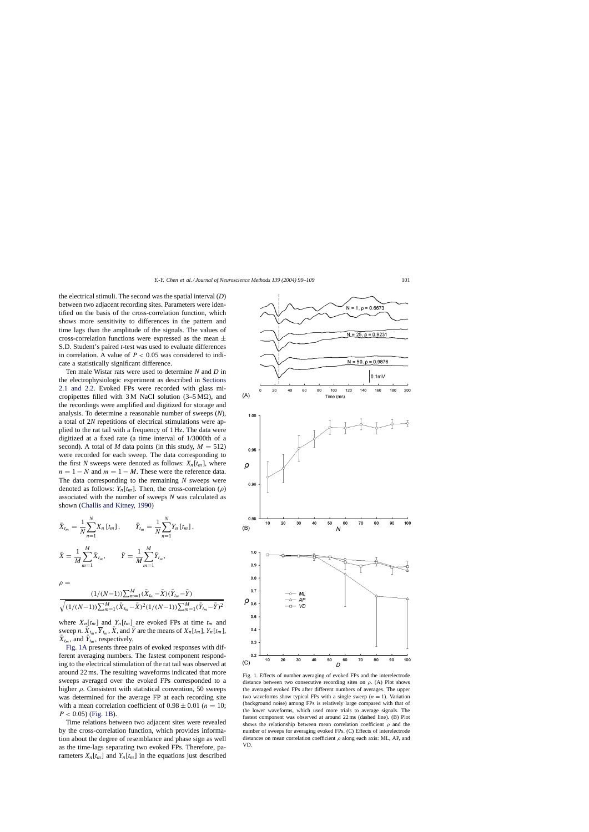<span id="page-2-0"></span>the electrical stimuli. The second was the spatial interval (*D*) between two adjacent recording sites. Parameters were identified on the basis of the cross-correlation function, which shows more sensitivity to differences in the pattern and time lags than the amplitude of the signals. The values of cross-correlation functions were expressed as the mean  $\pm$ S.D. Student's paired *t*-test was used to evaluate differences in correlation. A value of  $P < 0.05$  was considered to indicate a statistically significant difference.

Ten male Wistar rats were used to determine *N* and *D* in the electrophysiologic experiment as described in [Sections](#page-1-0) [2.1 and 2.2.](#page-1-0) Evoked FPs were recorded with glass micropipettes filled with  $3 M$  NaCl solution (3–5 M $\Omega$ ), and the recordings were amplified and digitized for storage and analysis. To determine a reasonable number of sweeps (*N*), a total of 2*N* repetitions of electrical stimulations were applied to the rat tail with a frequency of 1 Hz. The data were digitized at a fixed rate (a time interval of 1/3000th of a second). A total of *M* data points (in this study,  $M = 512$ ) were recorded for each sweep. The data corresponding to the first *N* sweeps were denoted as follows:  $X_n[t_m]$ , where  $n = 1 - N$  and  $m = 1 - M$ . These were the reference data. The data corresponding to the remaining *N* sweeps were denoted as follows:  $Y_n[t_m]$ . Then, the cross-correlation ( $\rho$ ) associated with the number of sweeps *N* was calculated as shown [\(Challis and Kitney, 1990\)](#page-9-0)

$$
\bar{X}_{t_m} = \frac{1}{N} \sum_{n=1}^{N} X_n [t_m], \qquad \bar{Y}_{t_m} = \frac{1}{N} \sum_{n=1}^{N} Y_n [t_m],
$$
\n
$$
\bar{X} = \frac{1}{M} \sum_{m=1}^{M} \bar{X}_{t_m}, \qquad \bar{Y} = \frac{1}{M} \sum_{m=1}^{M} \bar{Y}_{t_m},
$$

 $\rho =$ 

$$
\frac{(1/(N-1))\sum_{m=1}^{M}(\bar{X}_{t_m}-\bar{X})(\bar{Y}_{t_m}-\bar{Y})}{\sqrt{(1/(N-1))\sum_{m=1}^{M}(\bar{X}_{t_m}-\bar{X})^2(1/(N-1))\sum_{m=1}^{M}(\bar{Y}_{t_m}-\bar{Y})^2}}
$$

where  $X_n[t_m]$  and  $Y_n[t_m]$  are evoked FPs at time  $t_m$  and sweep *n*.  $\bar{X}_{t_m}$ ,  $\bar{Y}_{t_m}$ ,  $\bar{X}$ , and  $\bar{Y}$  are the means of  $X_n[t_m]$ ,  $Y_n[t_m]$ ,  $\bar{X}_{t_m}$ , and  $\bar{Y}_{t_m}$ , respectively.

Fig. 1A presents three pairs of evoked responses with different averaging numbers. The fastest component responding to the electrical stimulation of the rat tail was observed at around 22 ms. The resulting waveforms indicated that more sweeps averaged over the evoked FPs corresponded to a higher  $\rho$ . Consistent with statistical convention, 50 sweeps was determined for the average FP at each recording site with a mean correlation coefficient of  $0.98 \pm 0.01$  ( $n = 10$ ;  $P < 0.05$ ) (Fig. 1B).

Time relations between two adjacent sites were revealed by the cross-correlation function, which provides information about the degree of resemblance and phase sign as well as the time-lags separating two evoked FPs. Therefore, parameters  $X_n[t_m]$  and  $Y_n[t_m]$  in the equations just described

 $0.9$  $0.8$  $0.7$ ML AP VD  $0.5$  $0.4$  $0.3$  $0.2$ 100 10 20 30 40 50 60 70 80 90 D Fig. 1. Effects of number averaging of evoked FPs and the interelectrode distance between two consecutive recording sites on  $\rho$ . (A) Plot shows the averaged evoked FPs after different numbers of averages. The upper two waveforms show typical FPs with a single sweep  $(n = 1)$ . Variation (background noise) among FPs is relatively large compared with that of the lower waveforms, which used more trials to average signals. The fastest component was observed at around 22 ms (dashed line). (B) Plot shows the relationship between mean correlation coefficient  $\rho$  and the number of sweeps for averaging evoked FPs. (C) Effects of interelectrode distances on mean correlation coefficient  $\rho$  along each axis: ML, AP, and VD.

 $N = 1, p = 0.6673$  $0 = 0.923$ -25  $N = 50$ ,  $\rho = 0.9876$  $|0.1<sub>m</sub> \vee$  $\overline{20}$  $40$ 60 80 140 160 180 100 120 200  $(A)$ Time (ms) 1.00 0.95 ρ  $0.90$ 0.85  $10$ 80 90 100 20 30 40 50 60 70  $(B)$  $\overline{M}$  $1.0$  $\rho_{_{0.6}}$  $(C)$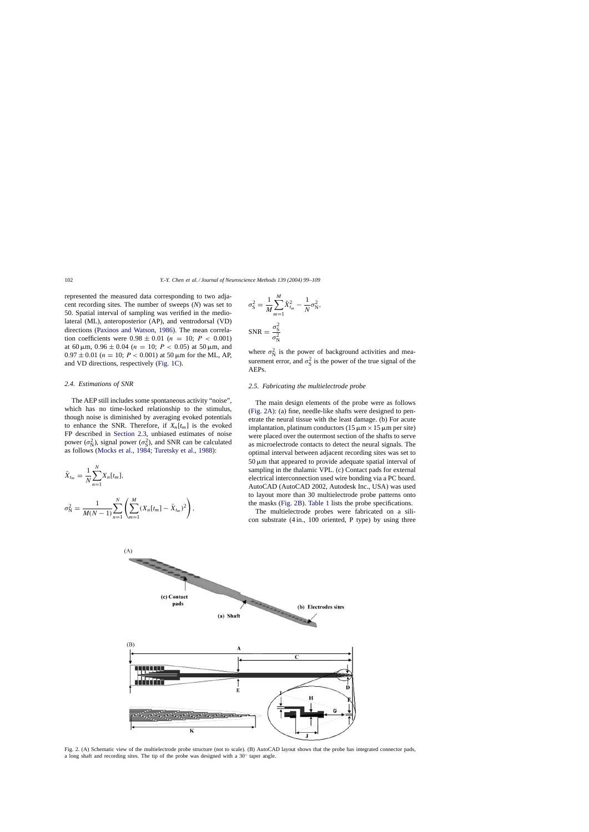<span id="page-3-0"></span>represented the measured data corresponding to two adjacent recording sites. The number of sweeps (*N*) was set to 50. Spatial interval of sampling was verified in the mediolateral (ML), anteroposterior (AP), and ventrodorsal (VD) directions ([Paxinos and Watson, 1986\)](#page-10-0). The mean correlation coefficients were  $0.98 \pm 0.01$  ( $n = 10$ ;  $P < 0.001$ ) at 60  $\mu$ m, 0.96  $\pm$  0.04 ( $n = 10$ ;  $P < 0.05$ ) at 50  $\mu$ m, and  $0.97 \pm 0.01$  ( $n = 10$ ;  $P < 0.001$ ) at 50  $\mu$ m for the ML, AP, and VD directions, respectively [\(Fig. 1C\).](#page-2-0)

#### *2.4. Estimations of SNR*

N

The AEP still includes some spontaneous activity "noise", which has no time-locked relationship to the stimulus, though noise is diminished by averaging evoked potentials to enhance the SNR. Therefore, if  $X_n[t_m]$  is the evoked FP described in [Section 2.3,](#page-1-0) unbiased estimates of noise power  $(\sigma_N^2)$ , signal power  $(\sigma_S^2)$ , and SNR can be calculated as follows ([Mocks et al., 1984; Turetsky et al., 1988\):](#page-10-0)

$$
\bar{X}_{t_m} = \frac{1}{N} \sum_{n=1}^{N} X_n[t_m],
$$
  

$$
\sigma_N^2 = \frac{1}{M(N-1)} \sum_{n=1}^{N} \left( \sum_{m=1}^{M} (X_n[t_m] - \bar{X}_{t_m})^2 \right),
$$

$$
\sigma_S^2 = \frac{1}{M} \sum_{m=1}^M \bar{X}_{t_m}^2 - \frac{1}{N} \sigma_N^2,
$$
  
SNR = 
$$
\frac{\sigma_S^2}{\sigma_N^2}
$$

where  $\sigma_N^2$  is the power of background activities and measurement error, and  $\sigma_S^2$  is the power of the true signal of the AEPs.

## *2.5. Fabricating the multielectrode probe*

The main design elements of the probe were as follows (Fig. 2A): (a) fine, needle-like shafts were designed to penetrate the neural tissue with the least damage. (b) For acute implantation, platinum conductors  $(15 \mu m \times 15 \mu m$  per site) were placed over the outermost section of the shafts to serve as microelectrode contacts to detect the neural signals. The optimal interval between adjacent recording sites was set to  $50 \mu m$  that appeared to provide adequate spatial interval of sampling in the thalamic VPL. (c) Contact pads for external electrical interconnection used wire bonding via a PC board. AutoCAD (AutoCAD 2002, Autodesk Inc., USA) was used to layout more than 30 multielectrode probe patterns onto the masks (Fig. 2B). [Table 1](#page-4-0) lists the probe specifications.

The multielectrode probes were fabricated on a silicon substrate (4 in., 100 oriented, P type) by using three



Fig. 2. (A) Schematic view of the multielectrode probe structure (not to scale). (B) AutoCAD layout shows that the probe has integrated connector pads, a long shaft and recording sites. The tip of the probe was designed with a 30◦ taper angle.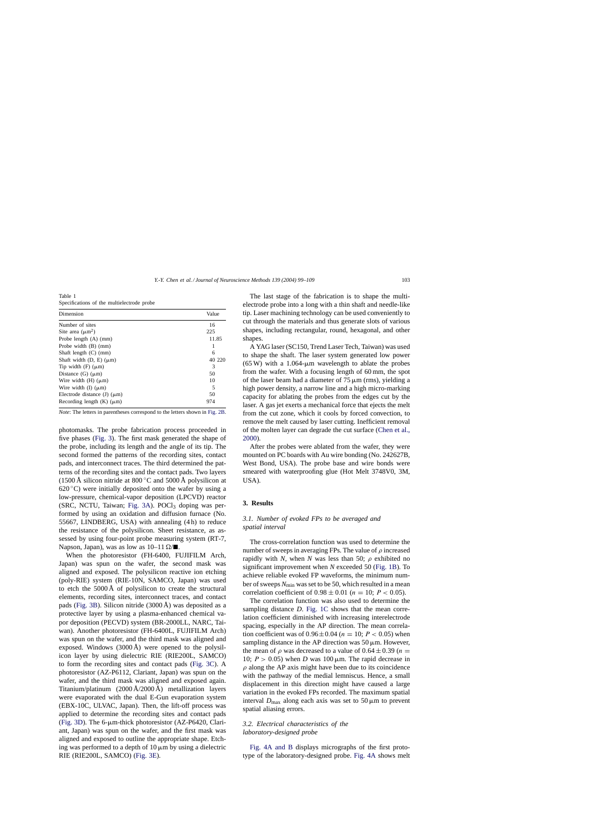<span id="page-4-0"></span>Table 1 Specifications of the multielectrode probe

| Dimension                           | Value  |
|-------------------------------------|--------|
| Number of sites                     | 16     |
| Site area $(\mu m^2)$               | 225    |
| Probe length $(A)$ (mm)             | 11.85  |
| Probe width $(B)$ (mm)              |        |
| Shaft length $(C)$ (mm)             | 6      |
| Shaft width $(D, E)$ ( $\mu$ m)     | 40 220 |
| Tip width $(F)$ ( $\mu$ m)          | 3      |
| Distance $(G)$ ( $\mu$ m)           | 50     |
| Wire width $(H)$ ( $\mu$ m)         | 10     |
| Wire width $(I)$ ( $\mu$ m)         | 5      |
| Electrode distance $(J)$ ( $\mu$ m) | 50     |
| Recording length $(K)$ ( $\mu$ m)   | 974    |

*Note*: The letters in parentheses correspond to the letters shown in [Fig. 2B.](#page-3-0)

photomasks. The probe fabrication process proceeded in five phases ([Fig. 3\).](#page-5-0) The first mask generated the shape of the probe, including its length and the angle of its tip. The second formed the patterns of the recording sites, contact pads, and interconnect traces. The third determined the patterns of the recording sites and the contact pads. Two layers (1500 Å silicon nitride at  $800^{\circ}$ C and 5000 Å polysilicon at  $620^{\circ}$ C) were initially deposited onto the wafer by using a low-pressure, chemical-vapor deposition (LPCVD) reactor  $(SRC, NCTU, Taiwan; Fig. 3A)$ . POCl<sub>3</sub> doping was performed by using an oxidation and diffusion furnace (No. 55667, LINDBERG, USA) with annealing (4 h) to reduce the resistance of the polysilicon. Sheet resistance, as assessed by using four-point probe measuring system (RT-7, Napson, Japan), was as low as  $10-11 \Omega / \blacksquare$ .

When the photoresistor (FH-6400, FUJIFILM Arch, Japan) was spun on the wafer, the second mask was aligned and exposed. The polysilicon reactive ion etching (poly-RIE) system (RIE-10N, SAMCO, Japan) was used to etch the 5000 Å of polysilicon to create the structural elements, recording sites, interconnect traces, and contact pads [\(Fig. 3B\).](#page-5-0) Silicon nitride (3000 Å) was deposited as a protective layer by using a plasma-enhanced chemical vapor deposition (PECVD) system (BR-2000LL, NARC, Taiwan). Another photoresistor (FH-6400L, FUJIFILM Arch) was spun on the wafer, and the third mask was aligned and exposed. Windows (3000 Å) were opened to the polysilicon layer by using dielectric RIE (RIE200L, SAMCO) to form the recording sites and contact pads [\(Fig. 3C\).](#page-5-0) A photoresistor (AZ-P6112, Clariant, Japan) was spun on the wafer, and the third mask was aligned and exposed again. Titanium/platinum (2000 Å/2000 Å) metallization layers were evaporated with the dual E-Gun evaporation system (EBX-10C, ULVAC, Japan). Then, the lift-off process was applied to determine the recording sites and contact pads ([Fig. 3D\).](#page-5-0) The 6- $\mu$ m-thick photoresistor (AZ-P6420, Clariant, Japan) was spun on the wafer, and the first mask was aligned and exposed to outline the appropriate shape. Etching was performed to a depth of  $10 \mu m$  by using a dielectric RIE (RIE200L, SAMCO) [\(Fig. 3E\).](#page-5-0)

The last stage of the fabrication is to shape the multielectrode probe into a long with a thin shaft and needle-like tip. Laser machining technology can be used conveniently to cut through the materials and thus generate slots of various shapes, including rectangular, round, hexagonal, and other shapes.

A YAG laser (SC150, Trend Laser Tech, Taiwan) was used to shape the shaft. The laser system generated low power  $(65 W)$  with a 1.064-µm wavelength to ablate the probes from the wafer. With a focusing length of 60 mm, the spot of the laser beam had a diameter of  $75 \mu m$  (rms), yielding a high power density, a narrow line and a high micro-marking capacity for ablating the probes from the edges cut by the laser. A gas jet exerts a mechanical force that ejects the melt from the cut zone, which it cools by forced convection, to remove the melt caused by laser cutting. Inefficient removal of the molten layer can degrade the cut surface ([Chen et al.,](#page-9-0) [2000\).](#page-9-0)

After the probes were ablated from the wafer, they were mounted on PC boards with Au wire bonding (No. 242627B, West Bond, USA). The probe base and wire bonds were smeared with waterproofing glue (Hot Melt 3748V0, 3M, USA).

## **3. Results**

## *3.1. Number of evoked FPs to be averaged and spatial interval*

The cross-correlation function was used to determine the number of sweeps in averaging FPs. The value of  $\rho$  increased rapidly with *N*, when *N* was less than 50;  $\rho$  exhibited no significant improvement when *N* exceeded 50 [\(Fig. 1B\).](#page-2-0) To achieve reliable evoked FP waveforms, the minimum number of sweeps *N*min was set to be 50, which resulted in a mean correlation coefficient of  $0.98 \pm 0.01$  ( $n = 10$ ;  $P < 0.05$ ).

The correlation function was also used to determine the sampling distance *D*. [Fig. 1C](#page-2-0) shows that the mean correlation coefficient diminished with increasing interelectrode spacing, especially in the AP direction. The mean correlation coefficient was of  $0.96 \pm 0.04$  ( $n = 10$ ;  $P < 0.05$ ) when sampling distance in the AP direction was  $50 \mu m$ . However, the mean of  $\rho$  was decreased to a value of  $0.64 \pm 0.39$  ( $n =$ 10;  $P > 0.05$ ) when *D* was 100  $\mu$ m. The rapid decrease in  $\rho$  along the AP axis might have been due to its coincidence with the pathway of the medial lemniscus. Hence, a small displacement in this direction might have caused a large variation in the evoked FPs recorded. The maximum spatial interval  $D_{\text{max}}$  along each axis was set to 50  $\mu$ m to prevent spatial aliasing errors.

# *3.2. Electrical characteristics of the laboratory-designed probe*

[Fig. 4A and B](#page-5-0) displays micrographs of the first prototype of the laboratory-designed probe. [Fig. 4A](#page-5-0) shows melt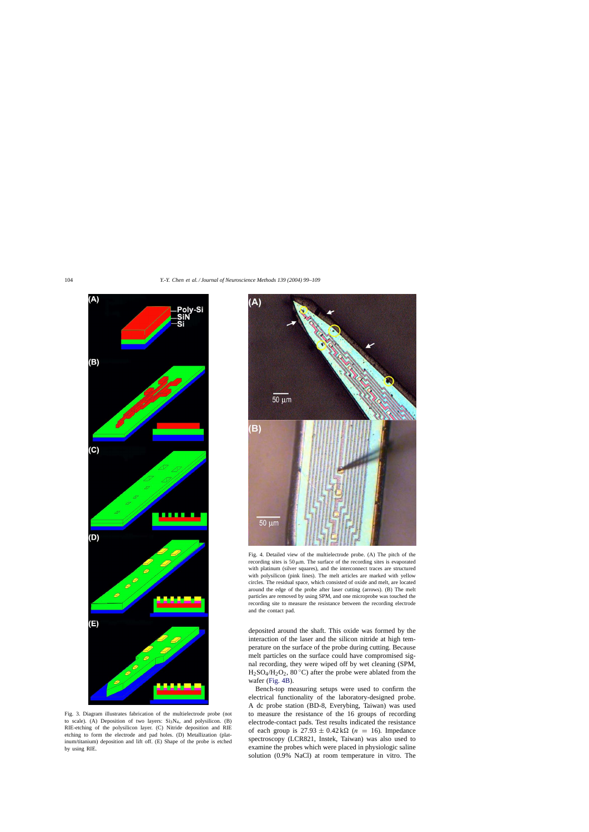<span id="page-5-0"></span>

Fig. 3. Diagram illustrates fabrication of the multielectrode probe (not to scale). (A) Deposition of two layers:  $Si<sub>3</sub>N<sub>4</sub>$ , and polysilicon. (B) RIE-etching of the polysilicon layer. (C) Nitride deposition and RIE etching to form the electrode and pad holes. (D) Metallization (platinum/titanium) deposition and lift off. (E) Shape of the probe is etched by using RIE.



Fig. 4. Detailed view of the multielectrode probe. (A) The pitch of the recording sites is  $50 \mu m$ . The surface of the recording sites is evaporated with platinum (silver squares), and the interconnect traces are structured with polysilicon (pink lines). The melt articles are marked with yellow circles. The residual space, which consisted of oxide and melt, are located around the edge of the probe after laser cutting (arrows). (B) The melt particles are removed by using SPM, and one microprobe was touched the recording site to measure the resistance between the recording electrode and the contact pad.

deposited around the shaft. This oxide was formed by the interaction of the laser and the silicon nitride at high temperature on the surface of the probe during cutting. Because melt particles on the surface could have compromised signal recording, they were wiped off by wet cleaning (SPM,  $H_2SO_4/H_2O_2$ , 80 °C) after the probe were ablated from the wafer (Fig. 4B).

Bench-top measuring setups were used to confirm the electrical functionality of the laboratory-designed probe. A dc probe station (BD-8, Everybing, Taiwan) was used to measure the resistance of the 16 groups of recording electrode-contact pads. Test results indicated the resistance of each group is  $27.93 \pm 0.42 \text{ k}\Omega$  ( $n = 16$ ). Impedance spectroscopy (LCR821, Instek, Taiwan) was also used to examine the probes which were placed in physiologic saline solution (0.9% NaCl) at room temperature in vitro. The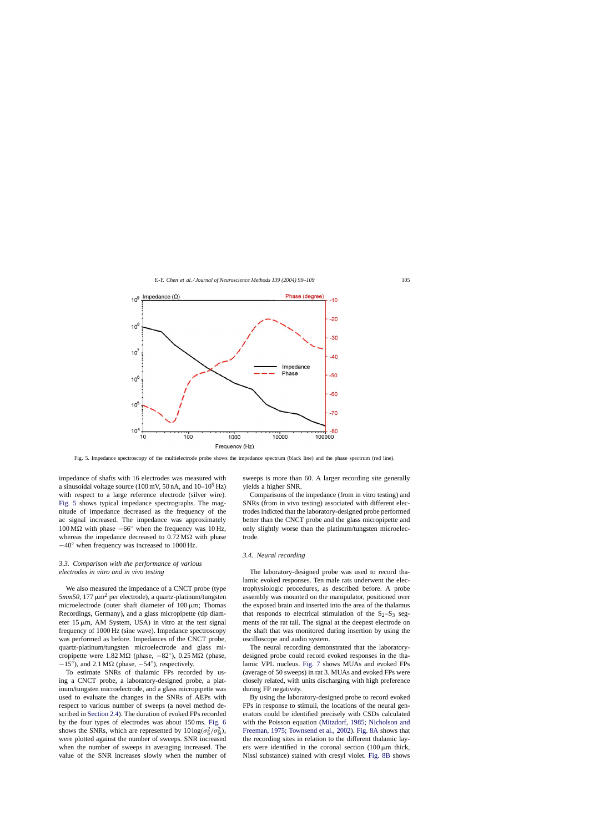

Fig. 5. Impedance spectroscopy of the multielectrode probe shows the impedance spectrum (black line) and the phase spectrum (red line).

impedance of shafts with 16 electrodes was measured with a sinusoidal voltage source (100 mV, 50 nA, and  $10-10^5$  Hz) with respect to a large reference electrode (silver wire). Fig. 5 shows typical impedance spectrographs. The magnitude of impedance decreased as the frequency of the ac signal increased. The impedance was approximately  $100 \text{ M}\Omega$  with phase  $-66°$  when the frequency was 10 Hz, whereas the impedance decreased to  $0.72 \text{ M}\Omega$  with phase −40◦ when frequency was increased to 1000 Hz.

# *3.3. Comparison with the performance of various electrodes in vitro and in vivo testing*

We also measured the impedance of a CNCT probe (type  $5mm50$ , 177  $\mu$ m<sup>2</sup> per electrode), a quartz-platinum/tungsten microelectrode (outer shaft diameter of  $100 \mu m$ ; Thomas Recordings, Germany), and a glass micropipette (tip diameter 15  $\mu$ m, AM System, USA) in vitro at the test signal frequency of 1000 Hz (sine wave). Impedance spectroscopy was performed as before. Impedances of the CNCT probe, quartz-platinum/tungsten microelectrode and glass micropipette were  $1.82 \text{ M}\Omega$  (phase,  $-82^\circ$ ),  $0.25 \text{ M}\Omega$  (phase,  $-15°$ ), and 2.1 M $\Omega$  (phase,  $-54°$ ), respectively.

To estimate SNRs of thalamic FPs recorded by using a CNCT probe, a laboratory-designed probe, a platinum/tungsten microelectrode, and a glass micropipette was used to evaluate the changes in the SNRs of AEPs with respect to various number of sweeps (a novel method described in [Section 2.4\).](#page-3-0) The duration of evoked FPs recorded by the four types of electrodes was about 150 ms. [Fig. 6](#page-7-0) shows the SNRs, which are represented by  $10 \log(\sigma_S^2/\sigma_N^2)$ , were plotted against the number of sweeps. SNR increased when the number of sweeps in averaging increased. The value of the SNR increases slowly when the number of sweeps is more than 60. A larger recording site generally yields a higher SNR.

Comparisons of the impedance (from in vitro testing) and SNRs (from in vivo testing) associated with different electrodes indicted that the laboratory-designed probe performed better than the CNCT probe and the glass micropipette and only slightly worse than the platinum/tungsten microelectrode.

#### *3.4. Neural recording*

The laboratory-designed probe was used to record thalamic evoked responses. Ten male rats underwent the electrophysiologic procedures, as described before. A probe assembly was mounted on the manipulator, positioned over the exposed brain and inserted into the area of the thalamus that responds to electrical stimulation of the  $S_2-S_3$  segments of the rat tail. The signal at the deepest electrode on the shaft that was monitored during insertion by using the oscilloscope and audio system.

The neural recording demonstrated that the laboratorydesigned probe could record evoked responses in the thalamic VPL nucleus. [Fig. 7](#page-7-0) shows MUAs and evoked FPs (average of 50 sweeps) in rat 3. MUAs and evoked FPs were closely related, with units discharging with high preference during FP negativity.

By using the laboratory-designed probe to record evoked FPs in response to stimuli, the locations of the neural generators could be identified precisely with CSDs calculated with the Poisson equation ([Mitzdorf, 1985; Nicholson and](#page-10-0) [Freeman, 1975; Townsend et al., 2002\).](#page-10-0) [Fig. 8A](#page-8-0) shows that the recording sites in relation to the different thalamic layers were identified in the coronal section  $(100 \,\mu m)$  thick, Nissl substance) stained with cresyl violet. [Fig. 8B](#page-8-0) shows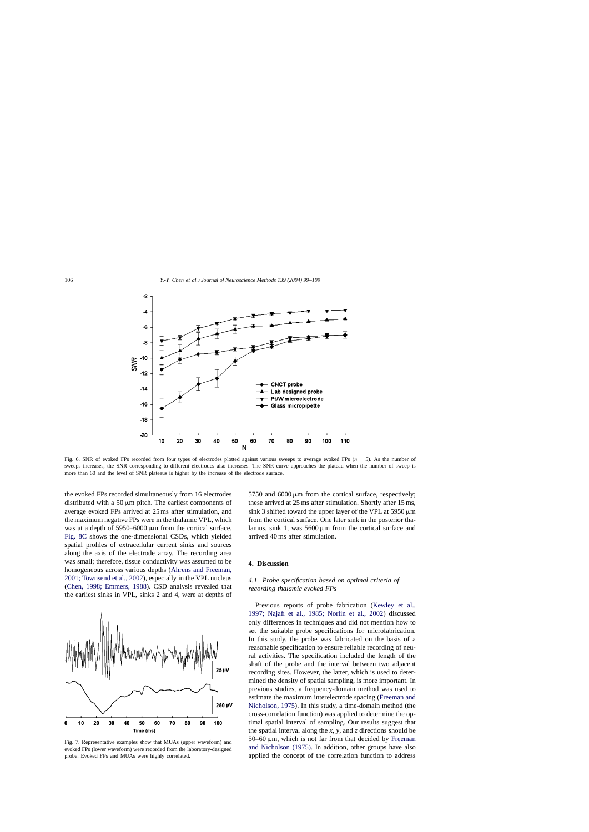<span id="page-7-0"></span>

Fig. 6. SNR of evoked FPs recorded from four types of electrodes plotted against various sweeps to average evoked FPs  $(n = 5)$ . As the number of sweeps increases, the SNR corresponding to different electrodes also increases. The SNR curve approaches the plateau when the number of sweep is more than 60 and the level of SNR plateaus is higher by the increase of the electrode surface.

the evoked FPs recorded simultaneously from 16 electrodes distributed with a 50  $\mu$ m pitch. The earliest components of average evoked FPs arrived at 25 ms after stimulation, and the maximum negative FPs were in the thalamic VPL, which was at a depth of  $5950-6000 \,\mu m$  from the cortical surface. [Fig. 8C](#page-8-0) shows the one-dimensional CSDs, which yielded spatial profiles of extracellular current sinks and sources along the axis of the electrode array. The recording area was small; therefore, tissue conductivity was assumed to be homogeneous across various depths [\(Ahrens and Freeman,](#page-9-0) [2001; Townsend et al., 2002\),](#page-9-0) especially in the VPL nucleus ([Chen, 1998; Emmers, 1988\)](#page-9-0). CSD analysis revealed that the earliest sinks in VPL, sinks 2 and 4, were at depths of



Fig. 7. Representative examples show that MUAs (upper waveform) and evoked FPs (lower waveform) were recorded from the laboratory-designed probe. Evoked FPs and MUAs were highly correlated.

5750 and  $6000 \,\mu m$  from the cortical surface, respectively; these arrived at 25 ms after stimulation. Shortly after 15 ms, sink 3 shifted toward the upper layer of the VPL at 5950  $\mu$ m from the cortical surface. One later sink in the posterior thalamus, sink 1, was  $5600 \,\mu m$  from the cortical surface and arrived 40 ms after stimulation.

# **4. Discussion**

# *4.1. Probe specification based on optimal criteria of recording thalamic evoked FPs*

Previous reports of probe fabrication [\(Kewley et al.,](#page-10-0) [1997; Najafi et al., 1985; Norlin et al., 200](#page-10-0)2) discussed only differences in techniques and did not mention how to set the suitable probe specifications for microfabrication. In this study, the probe was fabricated on the basis of a reasonable specification to ensure reliable recording of neural activities. The specification included the length of the shaft of the probe and the interval between two adjacent recording sites. However, the latter, which is used to determined the density of spatial sampling, is more important. In previous studies, a frequency-domain method was used to estimate the maximum interelectrode spacing ([Freeman and](#page-10-0) [Nicholson, 1975\).](#page-10-0) In this study, a time-domain method (the cross-correlation function) was applied to determine the optimal spatial interval of sampling. Our results suggest that the spatial interval along the *x*, *y*, and *z* directions should be  $50-60 \mu m$ , which is not far from that decided by [Freeman](#page-10-0) [and Nicholson \(1975\).](#page-10-0) In addition, other groups have also applied the concept of the correlation function to address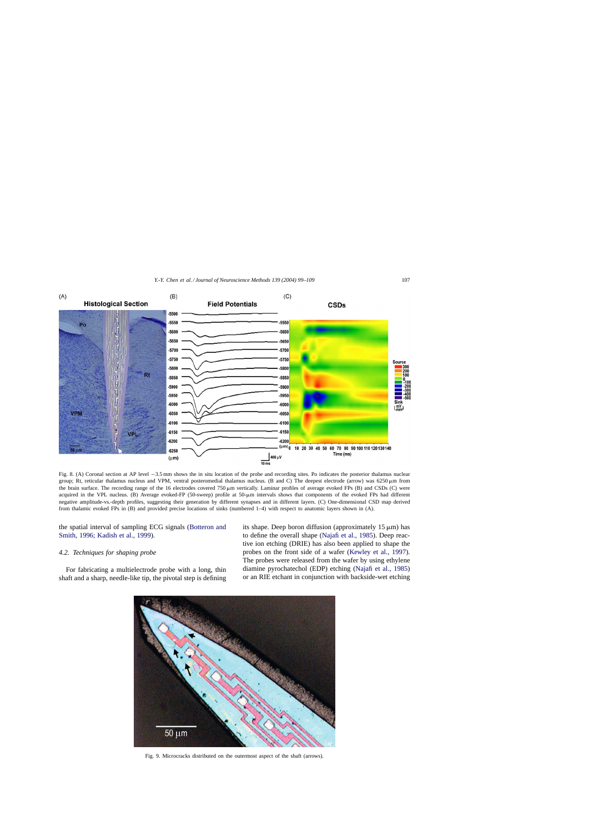<span id="page-8-0"></span>

Fig. 8. (A) Coronal section at AP level −3.5 mm shows the in situ location of the probe and recording sites. Po indicates the posterior thalamus nuclear group; Rt, reticular thalamus nucleus and VPM, ventral posteromedial thalamus nucleus. (B and C) The deepest electrode (arrow) was 6250  $\mu$ m from the brain surface. The recording range of the 16 electrodes covered 750  $\mu$ m vertically. Laminar profiles of average evoked FPs (B) and CSDs (C) were acquired in the VPL nucleus. (B) Average evoked-FP (50-sweep) profile at 50-µm intervals shows that components of the evoked FPs had different negative amplitude-vs.-depth profiles, suggesting their generation by different synapses and in different layers. (C) One-dimensional CSD map derived from thalamic evoked FPs in (B) and provided precise locations of sinks (numbered 1–4) with respect to anatomic layers shown in (A).

the spatial interval of sampling ECG signals ([Botteron and](#page-9-0) [Smith, 1996; Kadish et al., 1999\).](#page-9-0)

## *4.2. Techniques for shaping probe*

For fabricating a multielectrode probe with a long, thin shaft and a sharp, needle-like tip, the pivotal step is defining its shape. Deep boron diffusion (approximately  $15 \mu m$ ) has to define the overall shape ([Najafi et al., 1985\).](#page-10-0) Deep reactive ion etching (DRIE) has also been applied to shape the probes on the front side of a wafer ([Kewley et al., 1997\)](#page-10-0). The probes were released from the wafer by using ethylene diamine pyrochatechol (EDP) etching ([Najafi et al., 1985\)](#page-10-0) or an RIE etchant in conjunction with backside-wet etching



Fig. 9. Microcracks distributed on the outermost aspect of the shaft (arrows).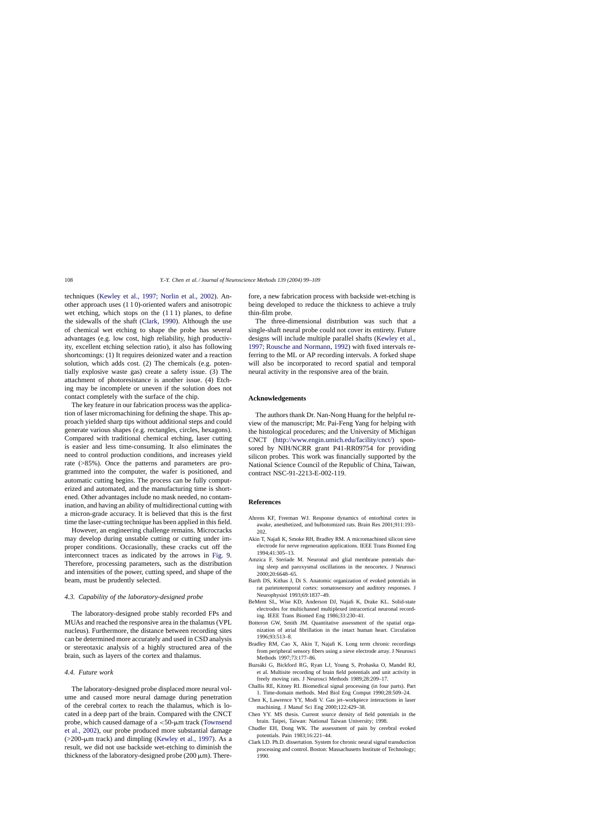<span id="page-9-0"></span>techniques [\(Kewley et al., 1997; Norlin et al., 2002](#page-10-0)). Another approach uses (1 1 0)-oriented wafers and anisotropic wet etching, which stops on the  $(1\,1\,1)$  planes, to define the sidewalls of the shaft (Clark, 1990). Although the use of chemical wet etching to shape the probe has several advantages (e.g. low cost, high reliability, high productivity, excellent etching selection ratio), it also has following shortcomings: (1) It requires deionized water and a reaction solution, which adds cost. (2) The chemicals (e.g. potentially explosive waste gas) create a safety issue. (3) The attachment of photoresistance is another issue. (4) Etching may be incomplete or uneven if the solution does not contact completely with the surface of the chip.

The key feature in our fabrication process was the application of laser micromachining for defining the shape. This approach yielded sharp tips without additional steps and could generate various shapes (e.g. rectangles, circles, hexagons). Compared with traditional chemical etching, laser cutting is easier and less time-consuming. It also eliminates the need to control production conditions, and increases yield rate (>85%). Once the patterns and parameters are programmed into the computer, the wafer is positioned, and automatic cutting begins. The process can be fully computerized and automated, and the manufacturing time is shortened. Other advantages include no mask needed, no contamination, and having an ability of multidirectional cutting with a micron-grade accuracy. It is believed that this is the first time the laser-cutting technique has been applied in this field.

However, an engineering challenge remains. Microcracks may develop during unstable cutting or cutting under improper conditions. Occasionally, these cracks cut off the interconnect traces as indicated by the arrows in [Fig. 9.](#page-8-0) Therefore, processing parameters, such as the distribution and intensities of the power, cutting speed, and shape of the beam, must be prudently selected.

### *4.3. Capability of the laboratory-designed probe*

The laboratory-designed probe stably recorded FPs and MUAs and reached the responsive area in the thalamus (VPL nucleus). Furthermore, the distance between recording sites can be determined more accurately and used in CSD analysis or stereotaxic analysis of a highly structured area of the brain, such as layers of the cortex and thalamus.

## *4.4. Future work*

The laboratory-designed probe displaced more neural volume and caused more neural damage during penetration of the cerebral cortex to reach the thalamus, which is located in a deep part of the brain. Compared with the CNCT probe, which caused damage of a  $\lt$ 50- $\mu$ m track [\(Townsend](#page-10-0) [et al., 2002\),](#page-10-0) our probe produced more substantial damage  $(>200$ -µm track) and dimpling [\(Kewley et al., 1997\).](#page-10-0) As a result, we did not use backside wet-etching to diminish the thickness of the laboratory-designed probe  $(200 \,\mu\text{m})$ . Therefore, a new fabrication process with backside wet-etching is being developed to reduce the thickness to achieve a truly thin-film probe.

The three-dimensional distribution was such that a single-shaft neural probe could not cover its entirety. Future designs will include multiple parallel shafts ([Kewley et al.,](#page-10-0) [1997; Rousche and Normann, 1992\) w](#page-10-0)ith fixed intervals referring to the ML or AP recording intervals. A forked shape will also be incorporated to record spatial and temporal neural activity in the responsive area of the brain.

## **Acknowledgements**

The authors thank Dr. Nan-Nong Huang for the helpful review of the manuscript; Mr. Pai-Feng Yang for helping with the histological procedures; and the University of Michigan CNCT ([http://www.engin.umich.edu/facility/cnct/\)](http://www.engin.umich.edu/facility/cnct/) sponsored by NIH/NCRR grant P41-RR09754 for providing silicon probes. This work was financially supported by the National Science Council of the Republic of China, Taiwan, contract NSC-91-2213-E-002-119.

## **References**

- Ahrens KF, Freeman WJ. Response dynamics of entorhinal cortex in awake, anesthetized, and bulbotomized rats. Brain Res 2001;911:193– 202.
- Akin T, Najafi K, Smoke RH, Bradley RM. A micromachined silicon sieve electrode for nerve regeneration applications. IEEE Trans Biomed Eng 1994;41:305–13.
- Amzica F, Steriade M. Neuronal and glial membrane potentials during sleep and paroxysmal oscillations in the neocortex. J Neurosci 2000;20:6648–65.
- Barth DS, Kithas J, Di S. Anatomic organization of evoked potentials in rat parietotemporal cortex: somatosensory and auditory responses. J Neurophysiol 1993;69:1837–49.
- BeMent SL, Wise KD, Anderson DJ, Najafi K, Drake KL. Solid-state electrodes for multichannel multiplexed intracortical neuronal recording. IEEE Trans Biomed Eng 1986;33:230–41.
- Botteron GW, Smith JM. Quantitative assessment of the spatial organization of atrial fibrillation in the intact human heart. Circulation 1996;93:513–8.
- Bradley RM, Cao X, Akin T, Najafi K. Long term chronic recordings from peripheral sensory fibers using a sieve electrode array. J Neurosci Methods 1997;73:177–86.
- Buzsáki G, Bickford RG, Ryan LJ, Young S, Prohaska O, Mandel RJ, et al. Multisite recording of brain field potentials and unit activity in freely moving rats. J Neurosci Methods 1989;28:209–17.
- Challis RE, Kitney RI. Biomedical signal processing (in four parts). Part 1. Time-domain methods. Med Biol Eng Comput 1990;28:509–24.
- Chen K, Lawrence YY, Modi V. Gas jet–workpiece interactions in laser machining. J Manuf Sci Eng 2000;122:429–38.
- Chen YY. MS thesis. Current source density of field potentials in the brain. Taipei, Taiwan: National Taiwan University; 1998.
- Chudler EH, Dong WK. The assessment of pain by cerebral evoked potentials. Pain 1983;16:221–44.
- Clark LD. Ph.D. dissertation. System for chronic neural signal transduction processing and control. Boston: Massachusetts Institute of Technology; 1990.